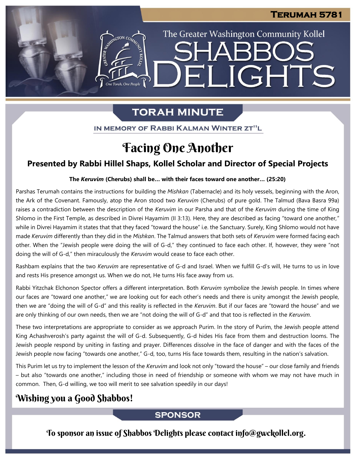The Greater Washington Community Kollel

ELIGHTS

# **TORAH MINUTE**

One Torah, One People

IN MEMORY OF RABBI KALMAN WINTER ZT"L

# Facing One Another

## **Presented by Rabbi Hillel Shaps, Kollel Scholar and Director of Special Projects**

### **The** *Keruvim* **(Cherubs) shall be… with their faces toward one another… (25:20) From our archives**

Parshas Terumah contains the instructions for building the *Mishkan* (Tabernacle) and its holy vessels, beginning with the Aron, the Ark of the Covenant. Famously, atop the Aron stood two *Keruvim* (Cherubs) of pure gold. The Talmud (Bava Basra 99a) raises a contradiction between the description of the *Keruvim* in our Parsha and that of the *Keruvim* during the time of King Shlomo in the First Temple, as described in Divrei Hayamim (II 3:13). Here, they are described as facing "toward one another," while in Divrei Hayamim it states that that they faced "toward the house" i.e. the Sanctuary. Surely, King Shlomo would not have made *Keruvim* differently than they did in the *Mishkan*. The Talmud answers that both sets of *Keruvim* were formed facing each other. When the "Jewish people were doing the will of G-d," they continued to face each other. If, however, they were "not doing the will of G-d," then miraculously the *Keruvim* would cease to face each other.

Rashbam explains that the two *Keruvim* are representative of G-d and Israel. When we fulfill G-d's will, He turns to us in love and rests His presence amongst us. When we do not, He turns His face away from us.

Rabbi Yitzchak Elchonon Spector offers a different interpretation. Both *Keruvim* symbolize the Jewish people. In times where our faces are "toward one another," we are looking out for each other's needs and there is unity amongst the Jewish people, then we are "doing the will of G-d" and this reality is reflected in the *Keruvim*. But if our faces are "toward the house" and we are only thinking of our own needs, then we are "not doing the will of G-d" and that too is reflected in the *Keruvim*.

These two interpretations are appropriate to consider as we approach Purim. In the story of Purim, the Jewish people attend King Achashverosh's party against the will of G-d. Subsequently, G-d hides His face from them and destruction looms. The Jewish people respond by uniting in fasting and prayer. Differences dissolve in the face of danger and with the faces of the Jewish people now facing "towards one another," G-d, too, turns His face towards them, resulting in the nation's salvation.

This Purim let us try to implement the lesson of the *Keruvim* and look not only "toward the house" – our close family and friends – but also "towards one another," including those in need of friendship or someone with whom we may not have much in common. Then, G-d willing, we too will merit to see salvation speedily in our days!

# Wishing you a Good Shabbos!

### **SPONSOR**

To sponsor an issue of Shabbos Delights please contact info@gwckollel.org.